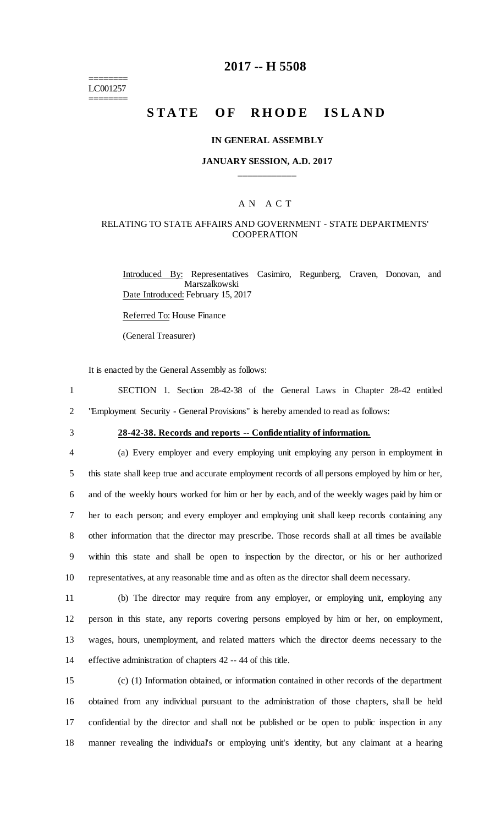======== LC001257 ========

# **2017 -- H 5508**

# **STATE OF RHODE ISLAND**

#### **IN GENERAL ASSEMBLY**

### **JANUARY SESSION, A.D. 2017 \_\_\_\_\_\_\_\_\_\_\_\_**

### A N A C T

### RELATING TO STATE AFFAIRS AND GOVERNMENT - STATE DEPARTMENTS' **COOPERATION**

Introduced By: Representatives Casimiro, Regunberg, Craven, Donovan, and Marszalkowski Date Introduced: February 15, 2017

Referred To: House Finance

(General Treasurer)

It is enacted by the General Assembly as follows:

1 SECTION 1. Section 28-42-38 of the General Laws in Chapter 28-42 entitled 2 "Employment Security - General Provisions" is hereby amended to read as follows:

# 3 **28-42-38. Records and reports -- Confidentiality of information.**

 (a) Every employer and every employing unit employing any person in employment in this state shall keep true and accurate employment records of all persons employed by him or her, and of the weekly hours worked for him or her by each, and of the weekly wages paid by him or her to each person; and every employer and employing unit shall keep records containing any other information that the director may prescribe. Those records shall at all times be available within this state and shall be open to inspection by the director, or his or her authorized representatives, at any reasonable time and as often as the director shall deem necessary.

 (b) The director may require from any employer, or employing unit, employing any person in this state, any reports covering persons employed by him or her, on employment, wages, hours, unemployment, and related matters which the director deems necessary to the effective administration of chapters 42 -- 44 of this title.

 (c) (1) Information obtained, or information contained in other records of the department obtained from any individual pursuant to the administration of those chapters, shall be held confidential by the director and shall not be published or be open to public inspection in any manner revealing the individual's or employing unit's identity, but any claimant at a hearing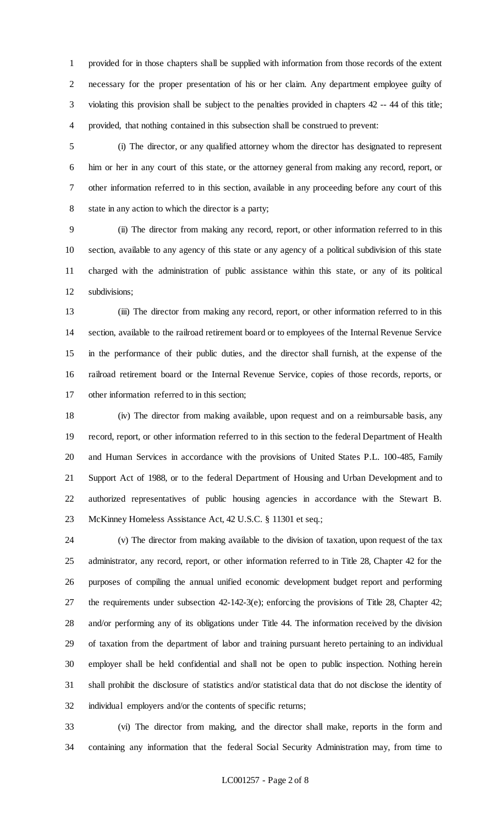provided for in those chapters shall be supplied with information from those records of the extent necessary for the proper presentation of his or her claim. Any department employee guilty of violating this provision shall be subject to the penalties provided in chapters 42 -- 44 of this title; provided, that nothing contained in this subsection shall be construed to prevent:

 (i) The director, or any qualified attorney whom the director has designated to represent him or her in any court of this state, or the attorney general from making any record, report, or other information referred to in this section, available in any proceeding before any court of this state in any action to which the director is a party;

 (ii) The director from making any record, report, or other information referred to in this section, available to any agency of this state or any agency of a political subdivision of this state charged with the administration of public assistance within this state, or any of its political subdivisions;

 (iii) The director from making any record, report, or other information referred to in this section, available to the railroad retirement board or to employees of the Internal Revenue Service in the performance of their public duties, and the director shall furnish, at the expense of the railroad retirement board or the Internal Revenue Service, copies of those records, reports, or other information referred to in this section;

 (iv) The director from making available, upon request and on a reimbursable basis, any record, report, or other information referred to in this section to the federal Department of Health and Human Services in accordance with the provisions of United States P.L. 100-485, Family Support Act of 1988, or to the federal Department of Housing and Urban Development and to authorized representatives of public housing agencies in accordance with the Stewart B. McKinney Homeless Assistance Act, 42 U.S.C. § 11301 et seq.;

 (v) The director from making available to the division of taxation, upon request of the tax administrator, any record, report, or other information referred to in Title 28, Chapter 42 for the purposes of compiling the annual unified economic development budget report and performing 27 the requirements under subsection  $42-142-3(e)$ ; enforcing the provisions of Title 28, Chapter 42; and/or performing any of its obligations under Title 44. The information received by the division of taxation from the department of labor and training pursuant hereto pertaining to an individual employer shall be held confidential and shall not be open to public inspection. Nothing herein shall prohibit the disclosure of statistics and/or statistical data that do not disclose the identity of individual employers and/or the contents of specific returns;

 (vi) The director from making, and the director shall make, reports in the form and containing any information that the federal Social Security Administration may, from time to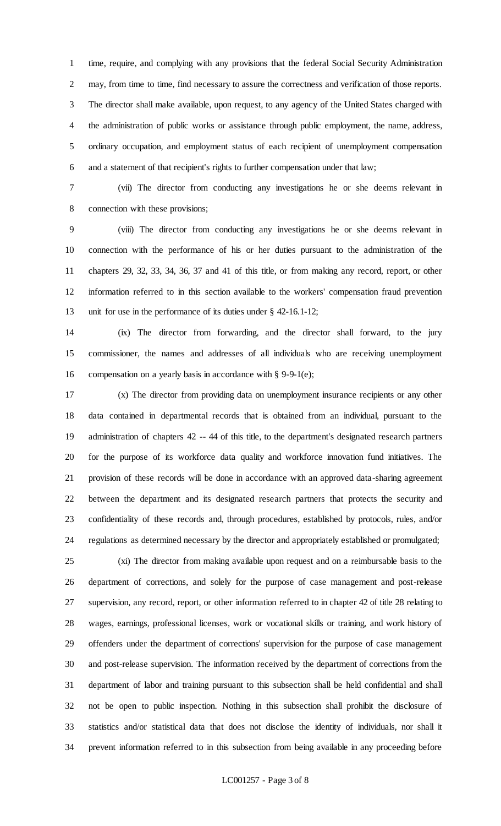time, require, and complying with any provisions that the federal Social Security Administration may, from time to time, find necessary to assure the correctness and verification of those reports. The director shall make available, upon request, to any agency of the United States charged with the administration of public works or assistance through public employment, the name, address, ordinary occupation, and employment status of each recipient of unemployment compensation and a statement of that recipient's rights to further compensation under that law;

 (vii) The director from conducting any investigations he or she deems relevant in connection with these provisions;

 (viii) The director from conducting any investigations he or she deems relevant in connection with the performance of his or her duties pursuant to the administration of the chapters 29, 32, 33, 34, 36, 37 and 41 of this title, or from making any record, report, or other information referred to in this section available to the workers' compensation fraud prevention unit for use in the performance of its duties under § 42-16.1-12;

 (ix) The director from forwarding, and the director shall forward, to the jury commissioner, the names and addresses of all individuals who are receiving unemployment compensation on a yearly basis in accordance with § 9-9-1(e);

 (x) The director from providing data on unemployment insurance recipients or any other data contained in departmental records that is obtained from an individual, pursuant to the administration of chapters 42 -- 44 of this title, to the department's designated research partners for the purpose of its workforce data quality and workforce innovation fund initiatives. The provision of these records will be done in accordance with an approved data-sharing agreement between the department and its designated research partners that protects the security and confidentiality of these records and, through procedures, established by protocols, rules, and/or regulations as determined necessary by the director and appropriately established or promulgated;

 (xi) The director from making available upon request and on a reimbursable basis to the department of corrections, and solely for the purpose of case management and post-release supervision, any record, report, or other information referred to in chapter 42 of title 28 relating to wages, earnings, professional licenses, work or vocational skills or training, and work history of offenders under the department of corrections' supervision for the purpose of case management and post-release supervision. The information received by the department of corrections from the department of labor and training pursuant to this subsection shall be held confidential and shall not be open to public inspection. Nothing in this subsection shall prohibit the disclosure of statistics and/or statistical data that does not disclose the identity of individuals, nor shall it prevent information referred to in this subsection from being available in any proceeding before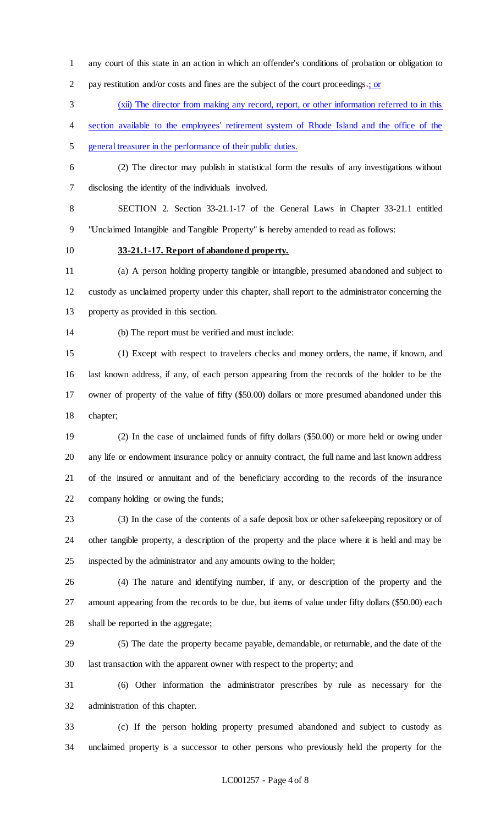any court of this state in an action in which an offender's conditions of probation or obligation to

2 pay restitution and/or costs and fines are the subject of the court proceedings.; or

(xii) The director from making any record, report, or other information referred to in this

section available to the employees' retirement system of Rhode Island and the office of the

general treasurer in the performance of their public duties.

 (2) The director may publish in statistical form the results of any investigations without disclosing the identity of the individuals involved.

 SECTION 2. Section 33-21.1-17 of the General Laws in Chapter 33-21.1 entitled "Unclaimed Intangible and Tangible Property" is hereby amended to read as follows:

**33-21.1-17. Report of abandoned property.**

 (a) A person holding property tangible or intangible, presumed abandoned and subject to custody as unclaimed property under this chapter, shall report to the administrator concerning the property as provided in this section.

(b) The report must be verified and must include:

 (1) Except with respect to travelers checks and money orders, the name, if known, and last known address, if any, of each person appearing from the records of the holder to be the owner of property of the value of fifty (\$50.00) dollars or more presumed abandoned under this chapter;

 (2) In the case of unclaimed funds of fifty dollars (\$50.00) or more held or owing under any life or endowment insurance policy or annuity contract, the full name and last known address of the insured or annuitant and of the beneficiary according to the records of the insurance company holding or owing the funds;

 (3) In the case of the contents of a safe deposit box or other safekeeping repository or of other tangible property, a description of the property and the place where it is held and may be inspected by the administrator and any amounts owing to the holder;

 (4) The nature and identifying number, if any, or description of the property and the amount appearing from the records to be due, but items of value under fifty dollars (\$50.00) each shall be reported in the aggregate;

 (5) The date the property became payable, demandable, or returnable, and the date of the last transaction with the apparent owner with respect to the property; and

 (6) Other information the administrator prescribes by rule as necessary for the administration of this chapter.

 (c) If the person holding property presumed abandoned and subject to custody as unclaimed property is a successor to other persons who previously held the property for the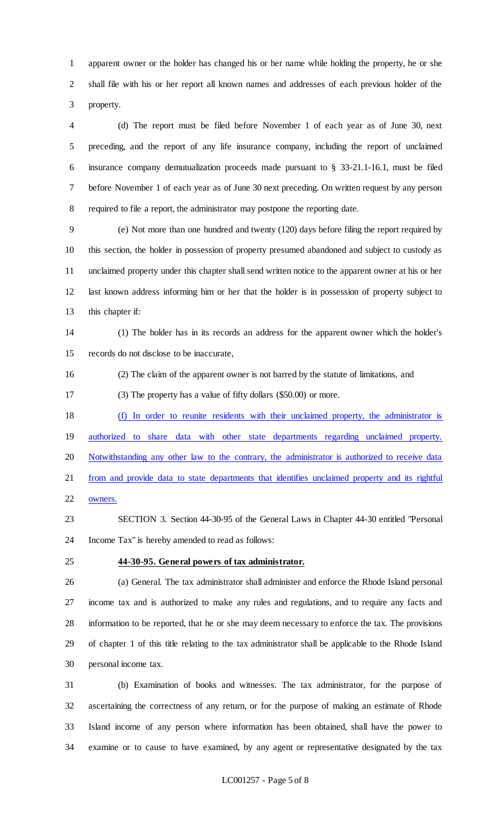apparent owner or the holder has changed his or her name while holding the property, he or she shall file with his or her report all known names and addresses of each previous holder of the property.

 (d) The report must be filed before November 1 of each year as of June 30, next preceding, and the report of any life insurance company, including the report of unclaimed insurance company demutualization proceeds made pursuant to § 33-21.1-16.1, must be filed before November 1 of each year as of June 30 next preceding. On written request by any person required to file a report, the administrator may postpone the reporting date.

 (e) Not more than one hundred and twenty (120) days before filing the report required by this section, the holder in possession of property presumed abandoned and subject to custody as unclaimed property under this chapter shall send written notice to the apparent owner at his or her last known address informing him or her that the holder is in possession of property subject to this chapter if:

 (1) The holder has in its records an address for the apparent owner which the holder's records do not disclose to be inaccurate,

- (2) The claim of the apparent owner is not barred by the statute of limitations, and
- (3) The property has a value of fifty dollars (\$50.00) or more.

 (f) In order to reunite residents with their unclaimed property, the administrator is authorized to share data with other state departments regarding unclaimed property. Notwithstanding any other law to the contrary, the administrator is authorized to receive data from and provide data to state departments that identifies unclaimed property and its rightful owners.

- SECTION 3. Section 44-30-95 of the General Laws in Chapter 44-30 entitled "Personal Income Tax" is hereby amended to read as follows:
- 

#### **44-30-95. General powers of tax administrator.**

 (a) General. The tax administrator shall administer and enforce the Rhode Island personal income tax and is authorized to make any rules and regulations, and to require any facts and information to be reported, that he or she may deem necessary to enforce the tax. The provisions of chapter 1 of this title relating to the tax administrator shall be applicable to the Rhode Island personal income tax.

 (b) Examination of books and witnesses. The tax administrator, for the purpose of ascertaining the correctness of any return, or for the purpose of making an estimate of Rhode Island income of any person where information has been obtained, shall have the power to examine or to cause to have examined, by any agent or representative designated by the tax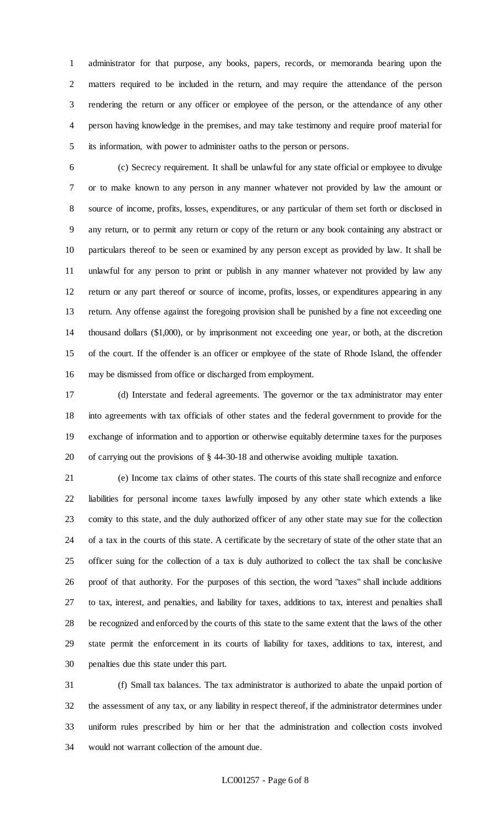administrator for that purpose, any books, papers, records, or memoranda bearing upon the matters required to be included in the return, and may require the attendance of the person rendering the return or any officer or employee of the person, or the attendance of any other person having knowledge in the premises, and may take testimony and require proof material for its information, with power to administer oaths to the person or persons.

 (c) Secrecy requirement. It shall be unlawful for any state official or employee to divulge or to make known to any person in any manner whatever not provided by law the amount or source of income, profits, losses, expenditures, or any particular of them set forth or disclosed in any return, or to permit any return or copy of the return or any book containing any abstract or particulars thereof to be seen or examined by any person except as provided by law. It shall be unlawful for any person to print or publish in any manner whatever not provided by law any return or any part thereof or source of income, profits, losses, or expenditures appearing in any return. Any offense against the foregoing provision shall be punished by a fine not exceeding one thousand dollars (\$1,000), or by imprisonment not exceeding one year, or both, at the discretion of the court. If the offender is an officer or employee of the state of Rhode Island, the offender may be dismissed from office or discharged from employment.

 (d) Interstate and federal agreements. The governor or the tax administrator may enter into agreements with tax officials of other states and the federal government to provide for the exchange of information and to apportion or otherwise equitably determine taxes for the purposes of carrying out the provisions of § 44-30-18 and otherwise avoiding multiple taxation.

 (e) Income tax claims of other states. The courts of this state shall recognize and enforce liabilities for personal income taxes lawfully imposed by any other state which extends a like comity to this state, and the duly authorized officer of any other state may sue for the collection of a tax in the courts of this state. A certificate by the secretary of state of the other state that an officer suing for the collection of a tax is duly authorized to collect the tax shall be conclusive proof of that authority. For the purposes of this section, the word "taxes" shall include additions to tax, interest, and penalties, and liability for taxes, additions to tax, interest and penalties shall be recognized and enforced by the courts of this state to the same extent that the laws of the other state permit the enforcement in its courts of liability for taxes, additions to tax, interest, and penalties due this state under this part.

 (f) Small tax balances. The tax administrator is authorized to abate the unpaid portion of the assessment of any tax, or any liability in respect thereof, if the administrator determines under uniform rules prescribed by him or her that the administration and collection costs involved would not warrant collection of the amount due.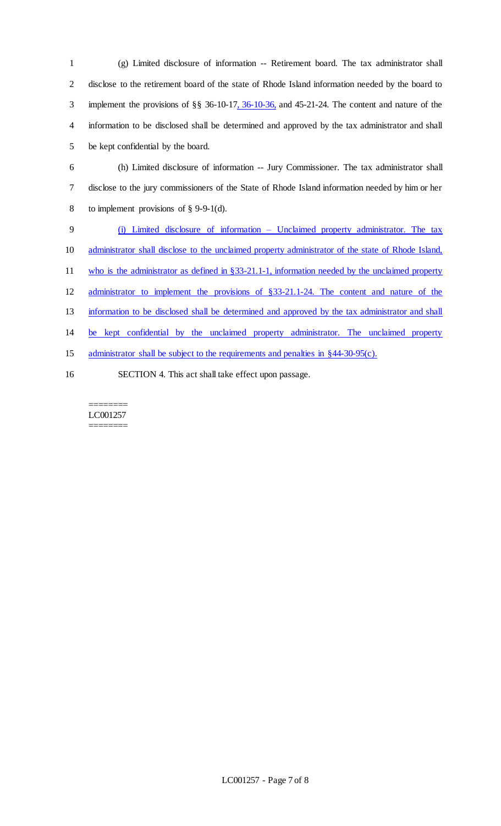(g) Limited disclosure of information -- Retirement board. The tax administrator shall disclose to the retirement board of the state of Rhode Island information needed by the board to implement the provisions of §§ 36-10-17, 36-10-36, and 45-21-24. The content and nature of the information to be disclosed shall be determined and approved by the tax administrator and shall be kept confidential by the board. (h) Limited disclosure of information -- Jury Commissioner. The tax administrator shall disclose to the jury commissioners of the State of Rhode Island information needed by him or her to implement provisions of § 9-9-1(d). (i) Limited disclosure of information – Unclaimed property administrator. The tax administrator shall disclose to the unclaimed property administrator of the state of Rhode Island, 11 who is the administrator as defined in §33-21.1-1, information needed by the unclaimed property administrator to implement the provisions of §33-21.1-24. The content and nature of the information to be disclosed shall be determined and approved by the tax administrator and shall be kept confidential by the unclaimed property administrator. The unclaimed property 15 administrator shall be subject to the requirements and penalties in §44-30-95(c). SECTION 4. This act shall take effect upon passage.

======== LC001257 ========